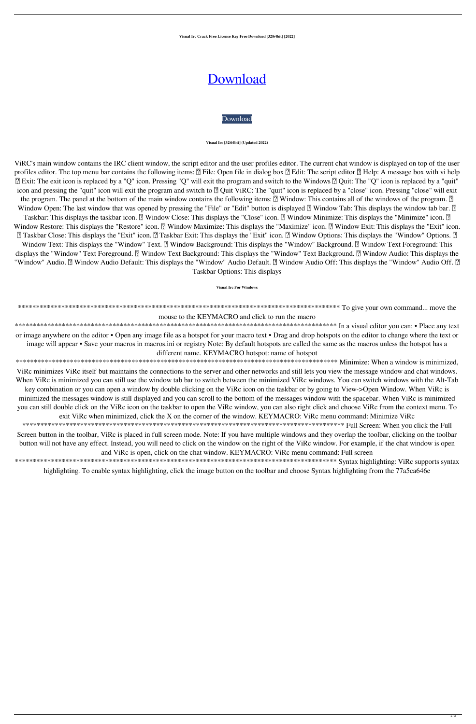**Visual Irc Crack Free License Key Free Download [32|64bit] [2022]**

# [Download](http://evacdir.com/copyrightservice/floodlit/VmlzdWFsIElyYwVml.subdue/ZG93bmxvYWR8NHdITlc1ME1IeDhNVFkxTkRVeU1qRXhNSHg4TWpVM05IeDhLRTBwSUhKbFlXUXRZbXh2WnlCYlJtRnpkQ0JIUlU1ZA/grips/kettle/soundness/)

# [Download](http://evacdir.com/copyrightservice/floodlit/VmlzdWFsIElyYwVml.subdue/ZG93bmxvYWR8NHdITlc1ME1IeDhNVFkxTkRVeU1qRXhNSHg4TWpVM05IeDhLRTBwSUhKbFlXUXRZbXh2WnlCYlJtRnpkQ0JIUlU1ZA/grips/kettle/soundness/)

#### **Visual Irc [32|64bit] (Updated 2022)**

ViRC's main window contains the IRC client window, the script editor and the user profiles editor. The current chat window is displayed on top of the user profiles editor. The top menu bar contains the following items: <sup>[7]</sup> File: Open file in dialog box <sup>[7]</sup> Edit: The script editor <sup>[7]</sup> Help: A message box with vi help ■ Exit: The exit icon is replaced by a "Q" icon. Pressing "Q" will exit the program and switch to the Windows ■ Quit: The "Q" icon is replaced by a "quit" icon and pressing the "quit" icon will exit the program and switch to  $[$ ! Quit ViRC: The "quit" icon is replaced by a "close" icon. Pressing "close" will exit the program. The panel at the bottom of the main window contains the following items: **p** Window: This contains all of the windows of the program. **p** Window Open: The last window that was opened by pressing the "File" or "Edit" button is displayed  $[$  Window Tab: This displays the window tab bar.  $[$ Taskbar: This displays the taskbar icon. **?** Window Close: This displays the "Close" icon. **?** Window Minimize: This displays the "Minimize" icon. **?** Window Restore: This displays the "Restore" icon. **7** Window Maximize: This displays the "Maximize" icon. **7** Window Exit: This displays the "Exit" icon. **□ Taskbar Close: This displays the "Exit" icon. □ Taskbar Exit: This displays the "Exit" icon.** □ Window Options: This displays the "Window" Options. □ Window Text: This displays the "Window" Text. **7 Window Background: This displays the "Window" Background.** 7 Window Text Foreground: This displays the "Window" Text Foreground. <sup>[7]</sup> Window Text Background: This displays the "Window" Text Background. <sup>[7]</sup> Window Audio: This displays the "Window" Audio. **7** Window Audio Default: This displays the "Window" Audio Default. **7** Window Audio Off: This displays the "Window" Audio Off. 7 Taskbar Options: This displays

\*\*\*\*\*\*\*\*\*\*\*\*\*\*\*\*\*\*\*\*\*\*\*\*\*\*\*\*\*\*\*\*\*\*\*\*\*\*\*\*\*\*\*\*\*\*\*\*\*\*\*\*\*\*\*\*\*\*\*\*\*\*\*\*\*\*\*\*\*\*\*\*\*\*\*\*\*\*\*\*\*\*\*\*\*\*\*\*\* To give your own command... move the

## mouse to the KEYMACRO and click to run the macro

\*\*\*\*\*\*\*\*\*\*\*\*\*\*\*\*\*\*\*\*\*\*\*\*\*\*\*\*\*\*\*\*\*\*\*\*\*\*\*\*\*\*\*\*\*\*\*\*\*\*\*\*\*\*\*\*\*\*\*\*\*\*\*\*\*\*\*\*\*\*\*\*\*\*\*\*\*\*\*\*\*\*\*\*\*\*\*\*\* In a visual editor you can: • Place any text or image anywhere on the editor • Open any image file as a hotspot for your macro text • Drag and drop hotspots on the editor to change where the text or image will appear • Save your macros in macros.ini or registry Note: By default hotspots are called the same as the macros unless the hotspot has a different name. KEYMACRO hotspot: name of hotspot

\*\*\*\*\*\*\*\*\*\*\*\*\*\*\*\*\*\*\*\*\*\*\*\*\*\*\*\*\*\*\*\*\*\*\*\*\*\*\*\*\*\*\*\*\*\*\*\*\*\*\*\*\*\*\*\*\*\*\*\*\*\*\*\*\*\*\*\*\*\*\*\*\*\*\*\*\*\*\*\*\*\*\*\*\*\*\*\*\* Minimize: When a window is minimized, ViRc minimizes ViRc itself but maintains the connections to the server and other networks and still lets you view the message window and chat windows. When ViRc is minimized you can still use the window tab bar to switch between the minimized ViRc windows. You can switch windows with the Alt-Tab key combination or you can open a window by double clicking on the ViRc icon on the taskbar or by going to View->Open Window. When ViRc is minimized the messages window is still displayed and you can scroll to the bottom of the messages window with the spacebar. When ViRc is minimized you can still double click on the ViRc icon on the taskbar to open the ViRc window, you can also right click and choose ViRc from the context menu. To exit ViRc when minimized, click the X on the corner of the window. KEYMACRO: ViRc menu command: Minimize ViRc

\*\*\*\*\*\*\*\*\*\*\*\*\*\*\*\*\*\*\*\*\*\*\*\*\*\*\*\*\*\*\*\*\*\*\*\*\*\*\*\*\*\*\*\*\*\*\*\*\*\*\*\*\*\*\*\*\*\*\*\*\*\*\*\*\*\*\*\*\*\*\*\*\*\*\*\*\*\*\*\*\*\*\*\*\*\*\*\*\* Full Screen: When you click the Full Screen button in the toolbar, ViRc is placed in full screen mode. Note: If you have multiple windows and they overlap the toolbar, clicking on the toolbar button will not have any effect. Instead, you will need to click on the window on the right of the ViRc window. For example, if the chat window is open and ViRc is open, click on the chat window. KEYMACRO: ViRc menu command: Full screen

\*\*\*\*\*\*\*\*\*\*\*\*\*\*\*\*\*\*\*\*\*\*\*\*\*\*\*\*\*\*\*\*\*\*\*\*\*\*\*\*\*\*\*\*\*\*\*\*\*\*\*\*\*\*\*\*\*\*\*\*\*\*\*\*\*\*\*\*\*\*\*\*\*\*\*\*\*\*\*\*\*\*\*\*\*\*\*\*\* Syntax highlighting: ViRc supports syntax

highlighting. To enable syntax highlighting, click the image button on the toolbar and choose Syntax highlighting from the 77a5ca646e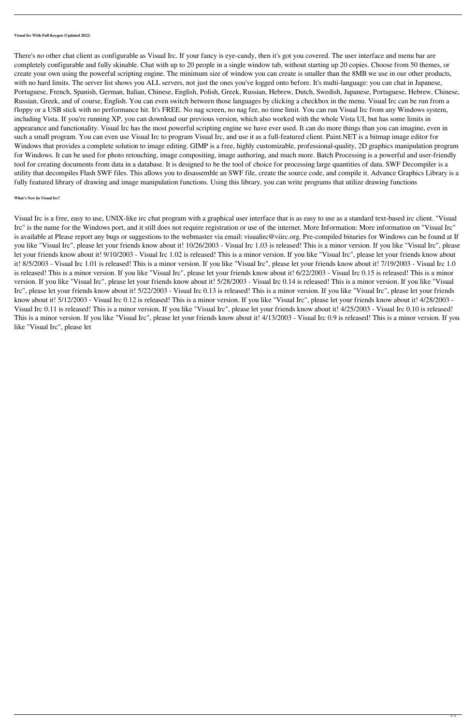**Visual Irc With Full Keygen (Updated 2022)**

There's no other chat client as configurable as Visual Irc. If your fancy is eye-candy, then it's got you covered. The user interface and menu bar are completely configurable and fully skinable. Chat with up to 20 people in a single window tab, without starting up 20 copies. Choose from 50 themes, or create your own using the powerful scripting engine. The minimum size of window you can create is smaller than the 8MB we use in our other products, with no hard limits. The server list shows you ALL servers, not just the ones you've logged onto before. It's multi-language: you can chat in Japanese, Portuguese, French, Spanish, German, Italian, Chinese, English, Polish, Greek, Russian, Hebrew, Dutch, Swedish, Japanese, Portuguese, Hebrew, Chinese, Russian, Greek, and of course, English. You can even switch between those languages by clicking a checkbox in the menu. Visual Irc can be run from a floppy or a USB stick with no performance hit. It's FREE. No nag screen, no nag fee, no time limit. You can run Visual Irc from any Windows system, including Vista. If you're running XP, you can download our previous version, which also worked with the whole Vista UI, but has some limits in appearance and functionality. Visual Irc has the most powerful scripting engine we have ever used. It can do more things than you can imagine, even in such a small program. You can even use Visual Irc to program Visual Irc, and use it as a full-featured client. Paint.NET is a bitmap image editor for Windows that provides a complete solution to image editing. GIMP is a free, highly customizable, professional-quality, 2D graphics manipulation program for Windows. It can be used for photo retouching, image compositing, image authoring, and much more. Batch Processing is a powerful and user-friendly tool for creating documents from data in a database. It is designed to be the tool of choice for processing large quantities of data. SWF Decompiler is a utility that decompiles Flash SWF files. This allows you to disassemble an SWF file, create the source code, and compile it. Advance Graphics Library is a fully featured library of drawing and image manipulation functions. Using this library, you can write programs that utilize drawing functions

### **What's New In Visual Irc?**

Visual Irc is a free, easy to use, UNIX-like irc chat program with a graphical user interface that is as easy to use as a standard text-based irc client. "Visual Irc" is the name for the Windows port, and it still does not require registration or use of the internet. More Information: More information on "Visual Irc" is available at Please report any bugs or suggestions to the webmaster via email: visualirc@viirc.org. Pre-compiled binaries for Windows can be found at If you like "Visual Irc", please let your friends know about it! 10/26/2003 - Visual Irc 1.03 is released! This is a minor version. If you like "Visual Irc", please let your friends know about it! 9/10/2003 - Visual Irc 1.02 is released! This is a minor version. If you like "Visual Irc", please let your friends know about it! 8/5/2003 - Visual Irc 1.01 is released! This is a minor version. If you like "Visual Irc", please let your friends know about it! 7/19/2003 - Visual Irc 1.0 is released! This is a minor version. If you like "Visual Irc", please let your friends know about it! 6/22/2003 - Visual Irc 0.15 is released! This is a minor version. If you like "Visual Irc", please let your friends know about it! 5/28/2003 - Visual Irc 0.14 is released! This is a minor version. If you like "Visual Irc", please let your friends know about it! 5/22/2003 - Visual Irc 0.13 is released! This is a minor version. If you like "Visual Irc", please let your friends know about it! 5/12/2003 - Visual Irc 0.12 is released! This is a minor version. If you like "Visual Irc", please let your friends know about it! 4/28/2003 - Visual Irc 0.11 is released! This is a minor version. If you like "Visual Irc", please let your friends know about it! 4/25/2003 - Visual Irc 0.10 is released! This is a minor version. If you like "Visual Irc", please let your friends know about it! 4/13/2003 - Visual Irc 0.9 is released! This is a minor version. If you like "Visual Irc", please let